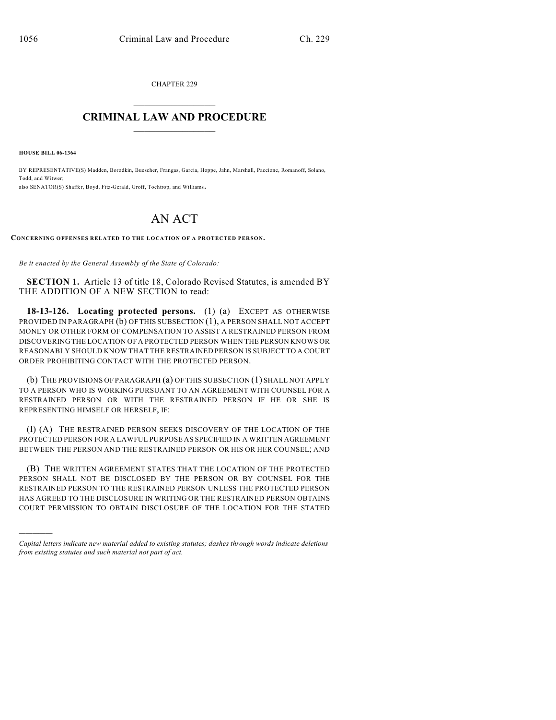CHAPTER 229  $\mathcal{L}_\text{max}$  . The set of the set of the set of the set of the set of the set of the set of the set of the set of the set of the set of the set of the set of the set of the set of the set of the set of the set of the set

## **CRIMINAL LAW AND PROCEDURE**  $\_$

**HOUSE BILL 06-1364**

)))))

BY REPRESENTATIVE(S) Madden, Borodkin, Buescher, Frangas, Garcia, Hoppe, Jahn, Marshall, Paccione, Romanoff, Solano, Todd, and Witwer; also SENATOR(S) Shaffer, Boyd, Fitz-Gerald, Groff, Tochtrop, and Williams.

## AN ACT

**CONCERNING OFFENSES RELATED TO THE LOCATION OF A PROTECTED PERSON.**

*Be it enacted by the General Assembly of the State of Colorado:*

**SECTION 1.** Article 13 of title 18, Colorado Revised Statutes, is amended BY THE ADDITION OF A NEW SECTION to read:

**18-13-126. Locating protected persons.** (1) (a) EXCEPT AS OTHERWISE PROVIDED IN PARAGRAPH (b) OF THIS SUBSECTION (1), A PERSON SHALL NOT ACCEPT MONEY OR OTHER FORM OF COMPENSATION TO ASSIST A RESTRAINED PERSON FROM DISCOVERING THE LOCATION OF A PROTECTED PERSON WHEN THE PERSON KNOWS OR REASONABLY SHOULD KNOW THAT THE RESTRAINED PERSON IS SUBJECT TO A COURT ORDER PROHIBITING CONTACT WITH THE PROTECTED PERSON.

(b) THE PROVISIONS OF PARAGRAPH (a) OF THIS SUBSECTION (1) SHALL NOT APPLY TO A PERSON WHO IS WORKING PURSUANT TO AN AGREEMENT WITH COUNSEL FOR A RESTRAINED PERSON OR WITH THE RESTRAINED PERSON IF HE OR SHE IS REPRESENTING HIMSELF OR HERSELF, IF:

(I) (A) THE RESTRAINED PERSON SEEKS DISCOVERY OF THE LOCATION OF THE PROTECTED PERSON FOR A LAWFUL PURPOSE AS SPECIFIED IN A WRITTEN AGREEMENT BETWEEN THE PERSON AND THE RESTRAINED PERSON OR HIS OR HER COUNSEL; AND

(B) THE WRITTEN AGREEMENT STATES THAT THE LOCATION OF THE PROTECTED PERSON SHALL NOT BE DISCLOSED BY THE PERSON OR BY COUNSEL FOR THE RESTRAINED PERSON TO THE RESTRAINED PERSON UNLESS THE PROTECTED PERSON HAS AGREED TO THE DISCLOSURE IN WRITING OR THE RESTRAINED PERSON OBTAINS COURT PERMISSION TO OBTAIN DISCLOSURE OF THE LOCATION FOR THE STATED

*Capital letters indicate new material added to existing statutes; dashes through words indicate deletions from existing statutes and such material not part of act.*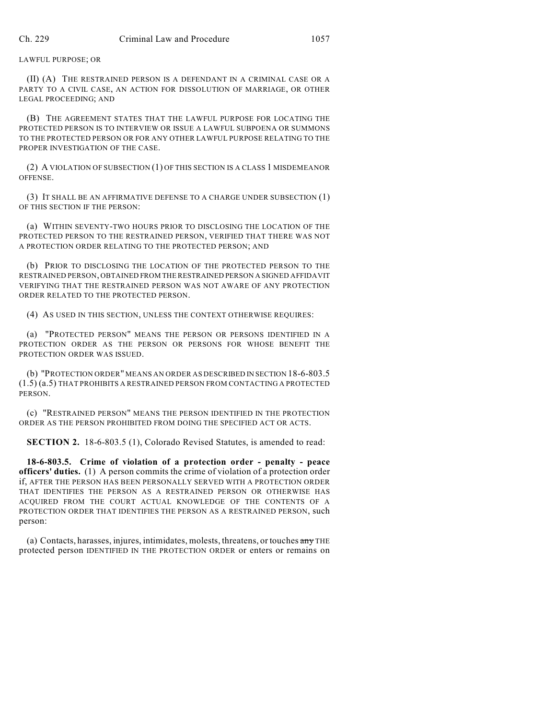LAWFUL PURPOSE; OR

(II) (A) THE RESTRAINED PERSON IS A DEFENDANT IN A CRIMINAL CASE OR A PARTY TO A CIVIL CASE, AN ACTION FOR DISSOLUTION OF MARRIAGE, OR OTHER LEGAL PROCEEDING; AND

(B) THE AGREEMENT STATES THAT THE LAWFUL PURPOSE FOR LOCATING THE PROTECTED PERSON IS TO INTERVIEW OR ISSUE A LAWFUL SUBPOENA OR SUMMONS TO THE PROTECTED PERSON OR FOR ANY OTHER LAWFUL PURPOSE RELATING TO THE PROPER INVESTIGATION OF THE CASE.

(2) A VIOLATION OF SUBSECTION (1) OF THIS SECTION IS A CLASS 1 MISDEMEANOR OFFENSE.

(3) IT SHALL BE AN AFFIRMATIVE DEFENSE TO A CHARGE UNDER SUBSECTION (1) OF THIS SECTION IF THE PERSON:

(a) WITHIN SEVENTY-TWO HOURS PRIOR TO DISCLOSING THE LOCATION OF THE PROTECTED PERSON TO THE RESTRAINED PERSON, VERIFIED THAT THERE WAS NOT A PROTECTION ORDER RELATING TO THE PROTECTED PERSON; AND

(b) PRIOR TO DISCLOSING THE LOCATION OF THE PROTECTED PERSON TO THE RESTRAINED PERSON, OBTAINED FROM THE RESTRAINED PERSON A SIGNED AFFIDAVIT VERIFYING THAT THE RESTRAINED PERSON WAS NOT AWARE OF ANY PROTECTION ORDER RELATED TO THE PROTECTED PERSON.

(4) AS USED IN THIS SECTION, UNLESS THE CONTEXT OTHERWISE REQUIRES:

(a) "PROTECTED PERSON" MEANS THE PERSON OR PERSONS IDENTIFIED IN A PROTECTION ORDER AS THE PERSON OR PERSONS FOR WHOSE BENEFIT THE PROTECTION ORDER WAS ISSUED.

(b) "PROTECTION ORDER" MEANS AN ORDER AS DESCRIBED IN SECTION 18-6-803.5 (1.5) (a.5) THAT PROHIBITS A RESTRAINED PERSON FROM CONTACTING A PROTECTED PERSON.

(c) "RESTRAINED PERSON" MEANS THE PERSON IDENTIFIED IN THE PROTECTION ORDER AS THE PERSON PROHIBITED FROM DOING THE SPECIFIED ACT OR ACTS.

**SECTION 2.** 18-6-803.5 (1), Colorado Revised Statutes, is amended to read:

**18-6-803.5. Crime of violation of a protection order - penalty - peace officers' duties.** (1) A person commits the crime of violation of a protection order if, AFTER THE PERSON HAS BEEN PERSONALLY SERVED WITH A PROTECTION ORDER THAT IDENTIFIES THE PERSON AS A RESTRAINED PERSON OR OTHERWISE HAS ACQUIRED FROM THE COURT ACTUAL KNOWLEDGE OF THE CONTENTS OF A PROTECTION ORDER THAT IDENTIFIES THE PERSON AS A RESTRAINED PERSON, such person:

(a) Contacts, harasses, injures, intimidates, molests, threatens, or touches any THE protected person IDENTIFIED IN THE PROTECTION ORDER or enters or remains on